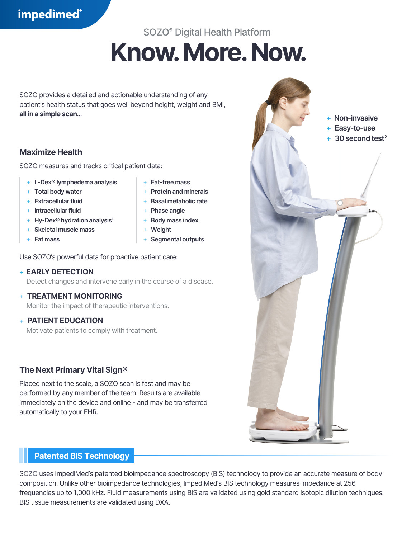## **impedimed**®

# SOZO® Digital Health Platform **Know. More. Now.**

SOZO provides a detailed and actionable understanding of any patient's health status that goes well beyond height, weight and BMI, **all in a simple scan**...

## **Maximize Health**

SOZO measures and tracks critical patient data:

- + **L-Dex® lymphedema analysis**
- + **Total body water**
- + **Extracellular fluid**
- + **Intracellular fluid**
- + **Hy-Dex® hydration analysis1**
- + **Skeletal muscle mass**
- + **Fat mass**
- + **Fat-free mass**
- + **Protein and minerals**
- + **Basal metabolic rate**
- + **Phase angle**
- + **Body mass index**
- + **Weight**
- + **Segmental outputs**

Use SOZO's powerful data for proactive patient care:

## + **EARLY DETECTION**

Detect changes and intervene early in the course of a disease.

## + **TREATMENT MONITORING**

Monitor the impact of therapeutic interventions.

## + **PATIENT EDUCATION**

Motivate patients to comply with treatment.

## **The Next Primary Vital Sign®**

Placed next to the scale, a SOZO scan is fast and may be performed by any member of the team. Results are available immediately on the device and online - and may be transferred automatically to your EHR.

## **Patented BIS Technology**

SOZO uses ImpediMed's patented bioimpedance spectroscopy (BIS) technology to provide an accurate measure of body composition. Unlike other bioimpedance technologies, ImpediMed's BIS technology measures impedance at 256 frequencies up to 1,000 kHz. Fluid measurements using BIS are validated using gold standard isotopic dilution techniques. BIS tissue measurements are validated using DXA.